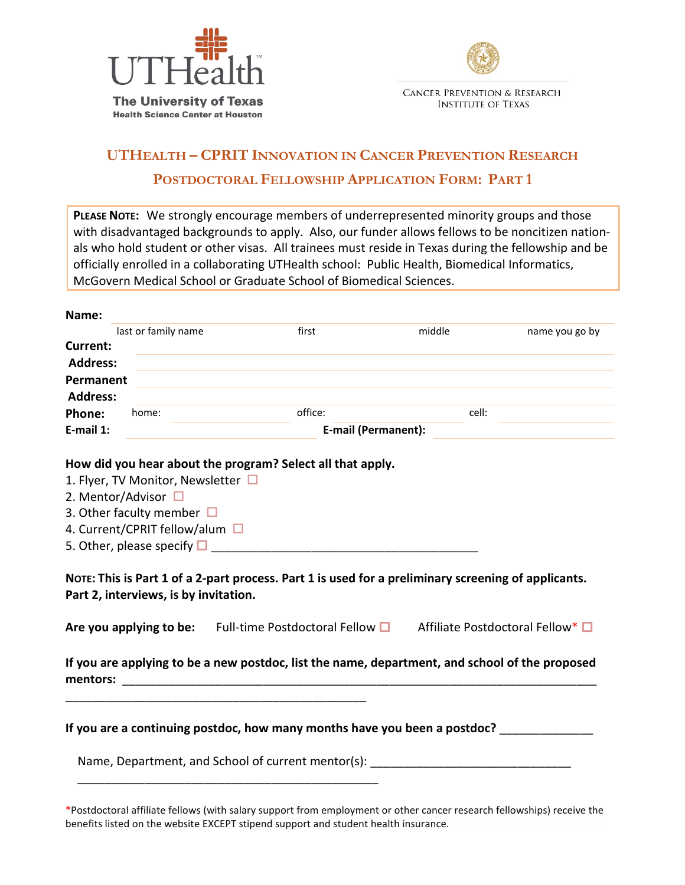



# **UTHEALTH – CPRIT INNOVATION IN CANCER PREVENTION RESEARCH POSTDOCTORAL FELLOWSHIP APPLICATION FORM: PART 1**

**PLEASE NOTE:** We strongly encourage members of underrepresented minority groups and those with disadvantaged backgrounds to apply. Also, our funder allows fellows to be noncitizen nationals who hold student or other visas. All trainees must reside in Texas during the fellowship and be officially enrolled in a collaborating UTHealth school: Public Health, Biomedical Informatics, McGovern Medical School or Graduate School of Biomedical Sciences.

| Name:           |                                       |                                                                                                                                 |                            |        |                |
|-----------------|---------------------------------------|---------------------------------------------------------------------------------------------------------------------------------|----------------------------|--------|----------------|
|                 | last or family name                   | first                                                                                                                           |                            | middle | name you go by |
| Current:        |                                       |                                                                                                                                 |                            |        |                |
| <b>Address:</b> |                                       |                                                                                                                                 |                            |        |                |
| Permanent       |                                       |                                                                                                                                 |                            |        |                |
| <b>Address:</b> |                                       |                                                                                                                                 |                            |        |                |
| Phone:          | home:                                 | office:                                                                                                                         |                            | cell:  |                |
| E-mail 1:       |                                       |                                                                                                                                 | <b>E-mail (Permanent):</b> |        |                |
|                 |                                       | How did you hear about the program? Select all that apply.                                                                      |                            |        |                |
|                 | 1. Flyer, TV Monitor, Newsletter □    |                                                                                                                                 |                            |        |                |
|                 | 2. Mentor/Advisor $\square$           |                                                                                                                                 |                            |        |                |
|                 | 3. Other faculty member $\Box$        |                                                                                                                                 |                            |        |                |
|                 | 4. Current/CPRIT fellow/alum □        |                                                                                                                                 |                            |        |                |
|                 |                                       | 5. Other, please specify $\Box$                                                                                                 |                            |        |                |
|                 |                                       |                                                                                                                                 |                            |        |                |
|                 |                                       | NOTE: This is Part 1 of a 2-part process. Part 1 is used for a preliminary screening of applicants.                             |                            |        |                |
|                 | Part 2, interviews, is by invitation. |                                                                                                                                 |                            |        |                |
|                 |                                       | Are you applying to be: Full-time Postdoctoral Fellow $\Box$ Affiliate Postdoctoral Fellow* $\Box$                              |                            |        |                |
|                 |                                       | If you are applying to be a new postdoc, list the name, department, and school of the proposed                                  |                            |        |                |
|                 |                                       | If you are a continuing postdoc, how many months have you been a postdoc?<br>Name, Department, and School of current mentor(s): |                            |        |                |
|                 |                                       |                                                                                                                                 |                            |        |                |

\*Postdoctoral affiliate fellows (with salary support from employment or other cancer research fellowships) receive the benefits listed on the website EXCEPT stipend support and student health insurance.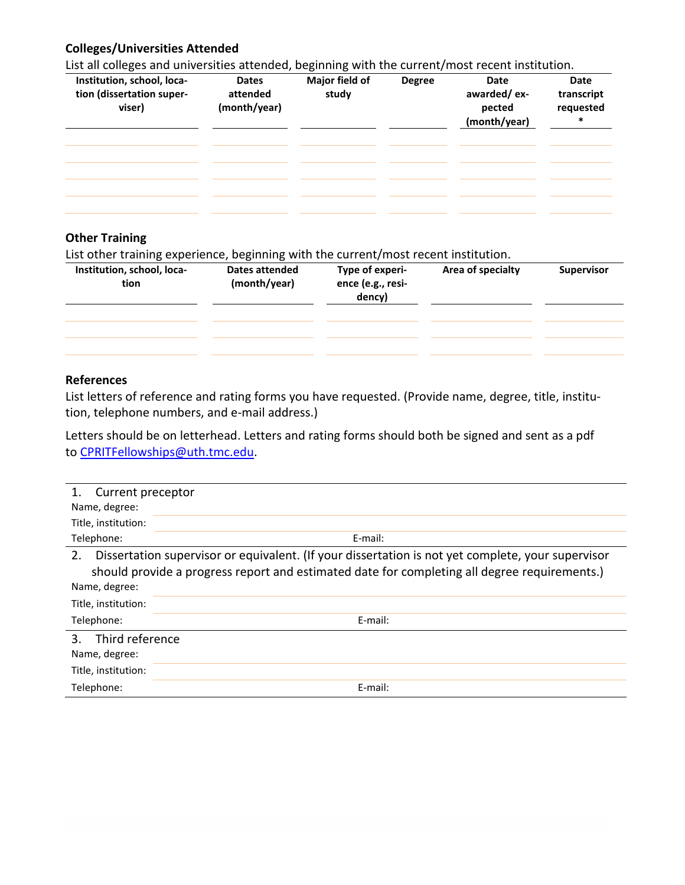### **Colleges/Universities Attended**

List all colleges and universities attended, beginning with the current/most recent institution.

| Institution, school, loca-<br>tion (dissertation super-<br>viser) | <b>Dates</b><br>attended<br>(month/year) | Major field of<br>study | <b>Degree</b> | Date<br>awarded/ex-<br>pected<br>(month/year) | Date<br>transcript<br>requested<br>$\ast$ |
|-------------------------------------------------------------------|------------------------------------------|-------------------------|---------------|-----------------------------------------------|-------------------------------------------|
|                                                                   |                                          |                         |               |                                               |                                           |
|                                                                   |                                          |                         |               |                                               |                                           |
|                                                                   |                                          |                         |               |                                               |                                           |

#### **Other Training**

List other training experience, beginning with the current/most recent institution.

| Institution, school, loca-<br>tion | <b>Dates attended</b><br>(month/year) | Type of experi-<br>ence (e.g., resi-<br>dency) | Area of specialty | <b>Supervisor</b> |
|------------------------------------|---------------------------------------|------------------------------------------------|-------------------|-------------------|
|                                    |                                       |                                                |                   |                   |
|                                    |                                       |                                                |                   |                   |
|                                    |                                       |                                                |                   |                   |

#### **References**

List letters of reference and rating forms you have requested. (Provide name, degree, title, institution, telephone numbers, and e-mail address.)

Letters should be on letterhead. Letters and rating forms should both be signed and sent as a pdf to [CPRITFellowships@uth.tmc.edu.](mailto:CPRITFellowships@uth.tmc.edu)

| Current preceptor    |                                                                                                   |
|----------------------|---------------------------------------------------------------------------------------------------|
| Name, degree:        |                                                                                                   |
| Title, institution:  |                                                                                                   |
| Telephone:           | E-mail:                                                                                           |
| 2.                   | Dissertation supervisor or equivalent. (If your dissertation is not yet complete, your supervisor |
|                      | should provide a progress report and estimated date for completing all degree requirements.)      |
| Name, degree:        |                                                                                                   |
| Title, institution:  |                                                                                                   |
| Telephone:           | E-mail:                                                                                           |
| Third reference<br>3 |                                                                                                   |
| Name, degree:        |                                                                                                   |
| Title, institution:  |                                                                                                   |
| Telephone:           | E-mail:                                                                                           |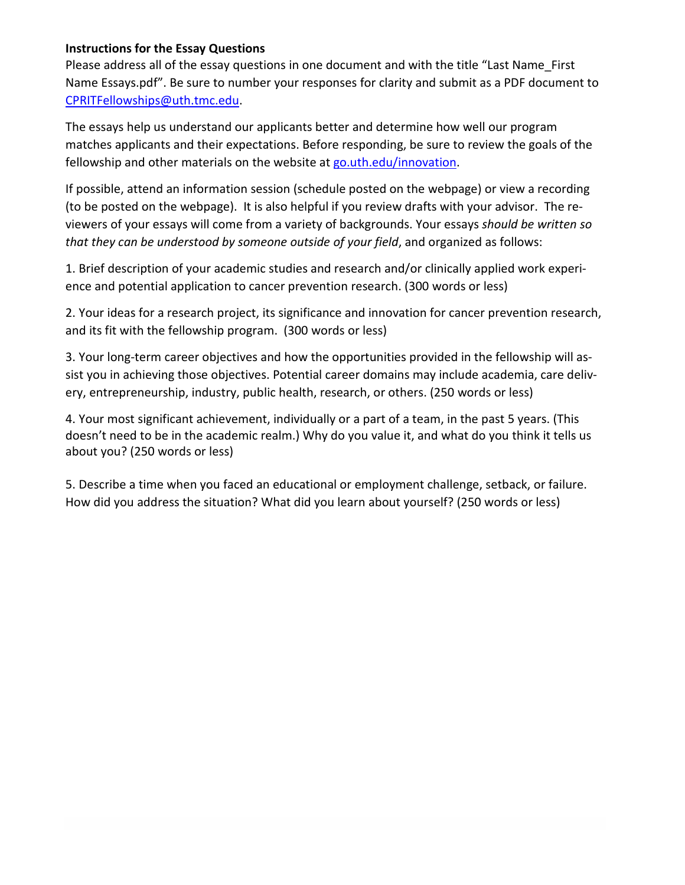### **Instructions for the Essay Questions**

Please address all of the essay questions in one document and with the title "Last Name\_First Name Essays.pdf". Be sure to number your responses for clarity and submit as a PDF document to [CPRITFellowships@uth.tmc.edu.](mailto:CPRITFellowships@uth.tmc.edu)

The essays help us understand our applicants better and determine how well our program matches applicants and their expectations. Before responding, be sure to review the goals of the fellowship and other materials on the website at [go.uth.edu/innovation.](https://sph.uth.edu/research/opportunities/cprit-fellowship/#TID-a5d62fcb-d826-4b10-8cf4-c76dd0d8e6ed-1)

If possible, attend an information session (schedule posted on the webpage) or view a recording (to be posted on the webpage). It is also helpful if you review drafts with your advisor. The reviewers of your essays will come from a variety of backgrounds. Your essays *should be written so that they can be understood by someone outside of your field*, and organized as follows:

1. Brief description of your academic studies and research and/or clinically applied work experience and potential application to cancer prevention research. (300 words or less)

2. Your ideas for a research project, its significance and innovation for cancer prevention research, and its fit with the fellowship program. (300 words or less)

3. Your long-term career objectives and how the opportunities provided in the fellowship will assist you in achieving those objectives. Potential career domains may include academia, care delivery, entrepreneurship, industry, public health, research, or others. (250 words or less)

4. Your most significant achievement, individually or a part of a team, in the past 5 years. (This doesn't need to be in the academic realm.) Why do you value it, and what do you think it tells us about you? (250 words or less)

5. Describe a time when you faced an educational or employment challenge, setback, or failure. How did you address the situation? What did you learn about yourself? (250 words or less)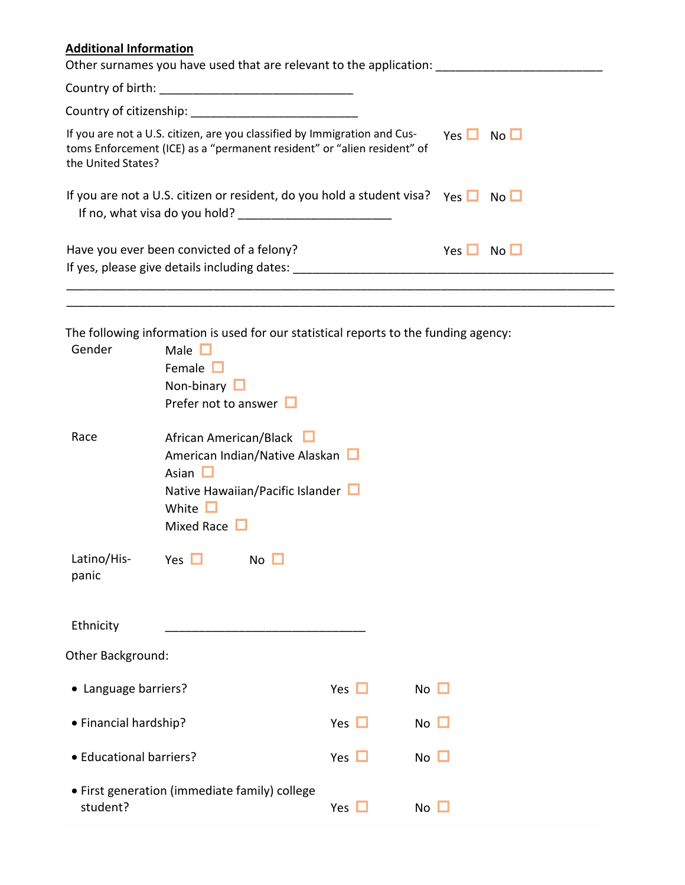# **Additional Information**

| Other surnames you have used that are relevant to the application:                                                                                                         |                    |                 |
|----------------------------------------------------------------------------------------------------------------------------------------------------------------------------|--------------------|-----------------|
|                                                                                                                                                                            |                    |                 |
|                                                                                                                                                                            |                    |                 |
| If you are not a U.S. citizen, are you classified by Immigration and Cus-<br>toms Enforcement (ICE) as a "permanent resident" or "alien resident" of<br>the United States? | $Yes \Box No \Box$ |                 |
| If you are not a U.S. citizen or resident, do you hold a student visa? Yes $\Box$ No $\Box$                                                                                |                    |                 |
| Have you ever been convicted of a felony?<br>If yes, please give details including dates:                                                                                  | Yes $\Box$         | No <sub>1</sub> |
|                                                                                                                                                                            |                    |                 |

\_\_\_\_\_\_\_\_\_\_\_\_\_\_\_\_\_\_\_\_\_\_\_\_\_\_\_\_\_\_\_\_\_\_\_\_\_\_\_\_\_\_\_\_\_\_\_\_\_\_\_\_\_\_\_\_\_\_\_\_\_\_\_\_\_\_\_\_\_\_\_\_\_\_\_\_\_\_\_\_\_\_

The following information is used for our statistical reports to the funding agency:

| Gender                  | Male $\Box$<br>Female $\Box$<br>Non-binary L<br>Prefer not to answer $\Box$                                                                       |            |             |
|-------------------------|---------------------------------------------------------------------------------------------------------------------------------------------------|------------|-------------|
| Race                    | African American/Black $\Box$<br>American Indian/Native Alaskan<br>Asian $\Box$<br>Native Hawaiian/Pacific Islander<br>White<br>Mixed Race $\Box$ |            |             |
| Latino/His-<br>panic    | Yes $\Box$<br>$No$ $\Box$                                                                                                                         |            |             |
| Ethnicity               |                                                                                                                                                   |            |             |
| Other Background:       |                                                                                                                                                   |            |             |
| • Language barriers?    |                                                                                                                                                   | Yes $\Box$ | $No$ $\Box$ |
| • Financial hardship?   |                                                                                                                                                   | Yes $\Box$ | $No$ $\Box$ |
| • Educational barriers? |                                                                                                                                                   | Yes $\Box$ | $No$ $\Box$ |
| student?                | • First generation (immediate family) college                                                                                                     | Yes        | No          |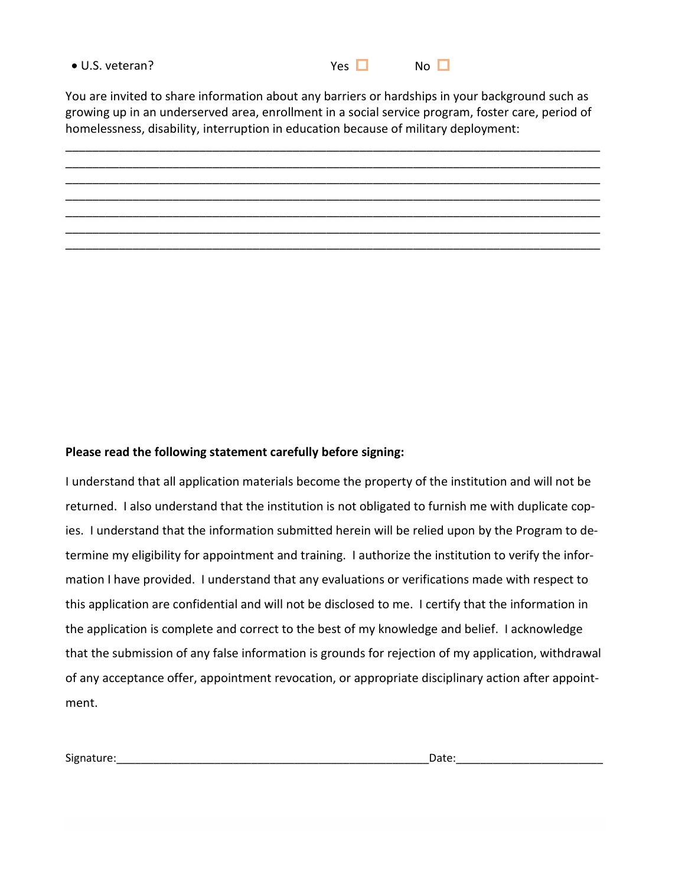| • U.S. veteran? | Yes | N <sub>0</sub> |
|-----------------|-----|----------------|

You are invited to share information about any barriers or hardships in your background such as growing up in an underserved area, enrollment in a social service program, foster care, period of homelessness, disability, interruption in education because of military deployment:



#### **Please read the following statement carefully before signing:**

I understand that all application materials become the property of the institution and will not be returned. I also understand that the institution is not obligated to furnish me with duplicate copies. I understand that the information submitted herein will be relied upon by the Program to determine my eligibility for appointment and training. I authorize the institution to verify the information I have provided. I understand that any evaluations or verifications made with respect to this application are confidential and will not be disclosed to me. I certify that the information in the application is complete and correct to the best of my knowledge and belief. I acknowledge that the submission of any false information is grounds for rejection of my application, withdrawal of any acceptance offer, appointment revocation, or appropriate disciplinary action after appointment.

Signature:\_\_\_\_\_\_\_\_\_\_\_\_\_\_\_\_\_\_\_\_\_\_\_\_\_\_\_\_\_\_\_\_\_\_\_\_\_\_\_\_\_\_\_\_\_\_\_\_\_\_\_Date:\_\_\_\_\_\_\_\_\_\_\_\_\_\_\_\_\_\_\_\_\_\_\_\_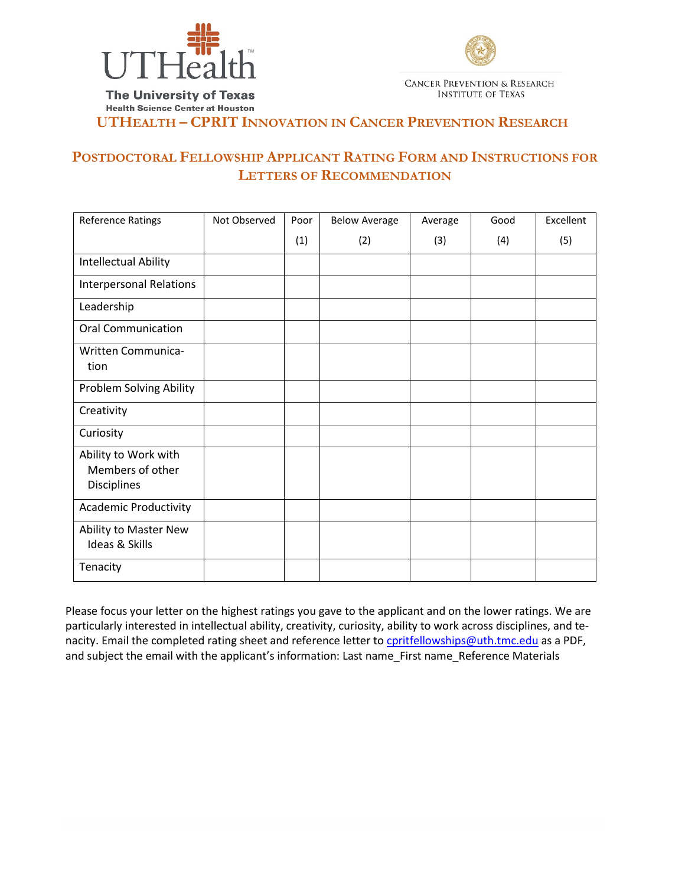



**The University of Texas Health Science Center at Houston** 

**UTHEALTH – CPRIT INNOVATION IN CANCER PREVENTION RESEARCH**

# **POSTDOCTORAL FELLOWSHIP APPLICANT RATING FORM AND INSTRUCTIONS FOR LETTERS OF RECOMMENDATION**

| <b>Reference Ratings</b>                                | Not Observed | Poor | <b>Below Average</b> | Average | Good | Excellent |
|---------------------------------------------------------|--------------|------|----------------------|---------|------|-----------|
|                                                         |              | (1)  | (2)                  | (3)     | (4)  | (5)       |
| Intellectual Ability                                    |              |      |                      |         |      |           |
| <b>Interpersonal Relations</b>                          |              |      |                      |         |      |           |
| Leadership                                              |              |      |                      |         |      |           |
| <b>Oral Communication</b>                               |              |      |                      |         |      |           |
| Written Communica-<br>tion                              |              |      |                      |         |      |           |
| Problem Solving Ability                                 |              |      |                      |         |      |           |
| Creativity                                              |              |      |                      |         |      |           |
| Curiosity                                               |              |      |                      |         |      |           |
| Ability to Work with<br>Members of other<br>Disciplines |              |      |                      |         |      |           |
| <b>Academic Productivity</b>                            |              |      |                      |         |      |           |
| Ability to Master New<br>Ideas & Skills                 |              |      |                      |         |      |           |
| Tenacity                                                |              |      |                      |         |      |           |

Please focus your letter on the highest ratings you gave to the applicant and on the lower ratings. We are particularly interested in intellectual ability, creativity, curiosity, ability to work across disciplines, and tenacity. Email the completed rating sheet and reference letter t[o cpritfellowships@uth.tmc.edu](mailto:cpritfellowships@uth.tmc.edu) as a PDF, and subject the email with the applicant's information: Last name\_First name\_Reference Materials